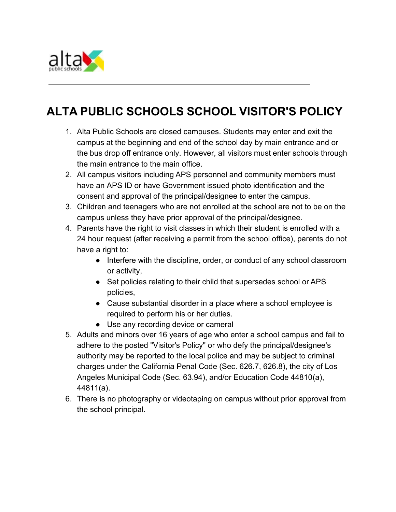

## **ALTA PUBLIC SCHOOLS SCHOOL VISITOR'S POLICY**

- 1. Alta Public Schools are closed campuses. Students may enter and exit the campus at the beginning and end of the school day by main entrance and or the bus drop off entrance only. However, all visitors must enter schools through the main entrance to the main office.
- 2. All campus visitors including APS personnel and community members must have an APS ID or have Government issued photo identification and the consent and approval of the principal/designee to enter the campus.
- 3. Children and teenagers who are not enrolled at the school are not to be on the campus unless they have prior approval of the principal/designee.
- 4. Parents have the right to visit classes in which their student is enrolled with a 24 hour request (after receiving a permit from the school office), parents do not have a right to:
	- Interfere with the discipline, order, or conduct of any school classroom or activity,
	- Set policies relating to their child that supersedes school or APS policies,
	- Cause substantial disorder in a place where a school employee is required to perform his or her duties.
	- Use any recording device or cameral
- 5. Adults and minors over 16 years of age who enter a school campus and fail to adhere to the posted "Visitor's Policy" or who defy the principal/designee's authority may be reported to the local police and may be subject to criminal charges under the California Penal Code (Sec. 626.7, 626.8), the city of Los Angeles Municipal Code (Sec. 63.94), and/or Education Code 44810(a), 44811(a).
- 6. There is no photography or videotaping on campus without prior approval from the school principal.